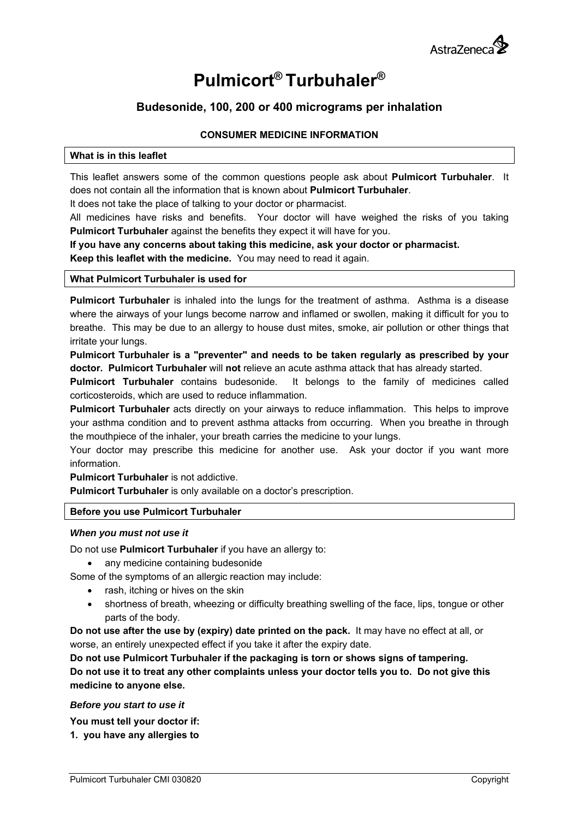

# **Pulmicort® Turbuhaler®**

## **Budesonide, 100, 200 or 400 micrograms per inhalation**

## **CONSUMER MEDICINE INFORMATION**

## **What is in this leaflet**

This leaflet answers some of the common questions people ask about **Pulmicort Turbuhaler**. It does not contain all the information that is known about **Pulmicort Turbuhaler**.

It does not take the place of talking to your doctor or pharmacist.

All medicines have risks and benefits. Your doctor will have weighed the risks of you taking **Pulmicort Turbuhaler** against the benefits they expect it will have for you.

**If you have any concerns about taking this medicine, ask your doctor or pharmacist. Keep this leaflet with the medicine.** You may need to read it again.

## **What Pulmicort Turbuhaler is used for**

**Pulmicort Turbuhaler** is inhaled into the lungs for the treatment of asthma. Asthma is a disease where the airways of your lungs become narrow and inflamed or swollen, making it difficult for you to breathe. This may be due to an allergy to house dust mites, smoke, air pollution or other things that irritate your lungs.

**Pulmicort Turbuhaler is a "preventer" and needs to be taken regularly as prescribed by your doctor. Pulmicort Turbuhaler** will **not** relieve an acute asthma attack that has already started.

**Pulmicort Turbuhaler** contains budesonide. It belongs to the family of medicines called corticosteroids, which are used to reduce inflammation.

**Pulmicort Turbuhaler** acts directly on your airways to reduce inflammation. This helps to improve your asthma condition and to prevent asthma attacks from occurring. When you breathe in through the mouthpiece of the inhaler, your breath carries the medicine to your lungs.

Your doctor may prescribe this medicine for another use. Ask your doctor if you want more information.

**Pulmicort Turbuhaler** is not addictive.

**Pulmicort Turbuhaler** is only available on a doctor's prescription.

## **Before you use Pulmicort Turbuhaler**

## *When you must not use it*

Do not use **Pulmicort Turbuhaler** if you have an allergy to:

• any medicine containing budesonide

Some of the symptoms of an allergic reaction may include:

- rash, itching or hives on the skin
- shortness of breath, wheezing or difficulty breathing swelling of the face, lips, tongue or other parts of the body.

**Do not use after the use by (expiry) date printed on the pack.** It may have no effect at all, or worse, an entirely unexpected effect if you take it after the expiry date.

**Do not use Pulmicort Turbuhaler if the packaging is torn or shows signs of tampering. Do not use it to treat any other complaints unless your doctor tells you to. Do not give this medicine to anyone else.** 

#### *Before you start to use it*

**You must tell your doctor if:** 

**1. you have any allergies to**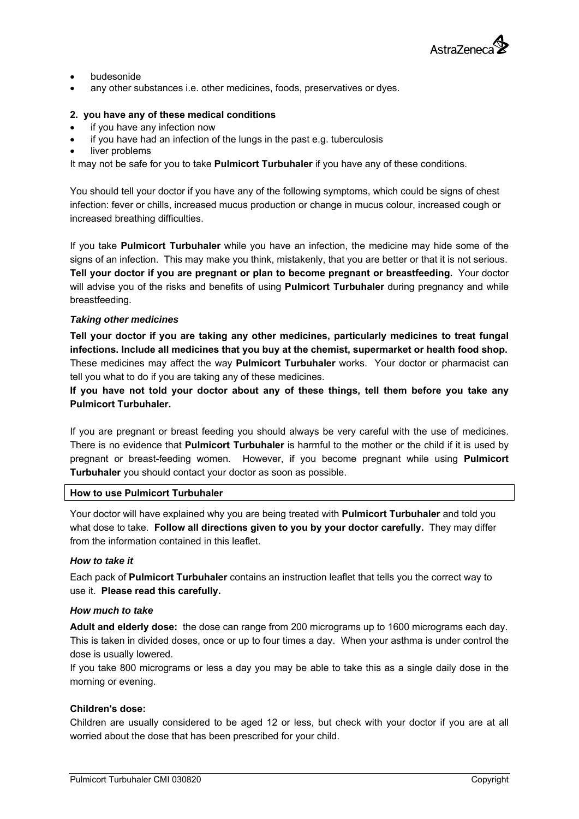

- budesonide
- any other substances i.e. other medicines, foods, preservatives or dyes.

## **2. you have any of these medical conditions**

- if you have any infection now
- if you have had an infection of the lungs in the past e.g. tuberculosis
- liver problems

It may not be safe for you to take **Pulmicort Turbuhaler** if you have any of these conditions.

You should tell your doctor if you have any of the following symptoms, which could be signs of chest infection: fever or chills, increased mucus production or change in mucus colour, increased cough or increased breathing difficulties.

If you take **Pulmicort Turbuhaler** while you have an infection, the medicine may hide some of the signs of an infection. This may make you think, mistakenly, that you are better or that it is not serious. **Tell your doctor if you are pregnant or plan to become pregnant or breastfeeding.** Your doctor will advise you of the risks and benefits of using **Pulmicort Turbuhaler** during pregnancy and while breastfeeding.

#### *Taking other medicines*

**Tell your doctor if you are taking any other medicines, particularly medicines to treat fungal infections. Include all medicines that you buy at the chemist, supermarket or health food shop.**  These medicines may affect the way **Pulmicort Turbuhaler** works. Your doctor or pharmacist can tell you what to do if you are taking any of these medicines.

**If you have not told your doctor about any of these things, tell them before you take any Pulmicort Turbuhaler.** 

If you are pregnant or breast feeding you should always be very careful with the use of medicines. There is no evidence that **Pulmicort Turbuhaler** is harmful to the mother or the child if it is used by pregnant or breast-feeding women. However, if you become pregnant while using **Pulmicort Turbuhaler** you should contact your doctor as soon as possible.

#### **How to use Pulmicort Turbuhaler**

Your doctor will have explained why you are being treated with **Pulmicort Turbuhaler** and told you what dose to take. **Follow all directions given to you by your doctor carefully.** They may differ from the information contained in this leaflet.

## *How to take it*

Each pack of **Pulmicort Turbuhaler** contains an instruction leaflet that tells you the correct way to use it. **Please read this carefully.** 

#### *How much to take*

**Adult and elderly dose:** the dose can range from 200 micrograms up to 1600 micrograms each day. This is taken in divided doses, once or up to four times a day. When your asthma is under control the dose is usually lowered.

If you take 800 micrograms or less a day you may be able to take this as a single daily dose in the morning or evening.

## **Children's dose:**

Children are usually considered to be aged 12 or less, but check with your doctor if you are at all worried about the dose that has been prescribed for your child.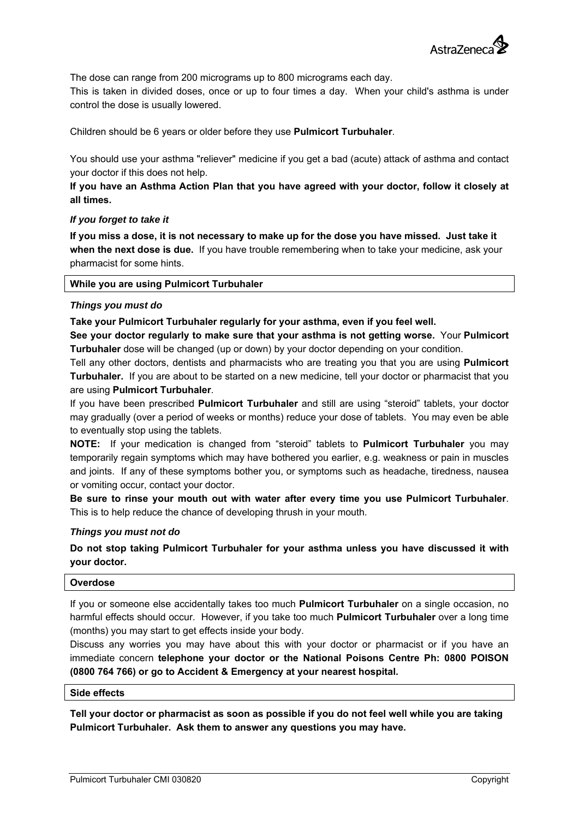

The dose can range from 200 micrograms up to 800 micrograms each day.

This is taken in divided doses, once or up to four times a day. When your child's asthma is under control the dose is usually lowered.

Children should be 6 years or older before they use **Pulmicort Turbuhaler**.

You should use your asthma "reliever" medicine if you get a bad (acute) attack of asthma and contact your doctor if this does not help.

## **If you have an Asthma Action Plan that you have agreed with your doctor, follow it closely at all times.**

#### *If you forget to take it*

**If you miss a dose, it is not necessary to make up for the dose you have missed. Just take it when the next dose is due.** If you have trouble remembering when to take your medicine, ask your pharmacist for some hints.

#### **While you are using Pulmicort Turbuhaler**

#### *Things you must do*

#### **Take your Pulmicort Turbuhaler regularly for your asthma, even if you feel well.**

**See your doctor regularly to make sure that your asthma is not getting worse.** Your **Pulmicort Turbuhaler** dose will be changed (up or down) by your doctor depending on your condition.

Tell any other doctors, dentists and pharmacists who are treating you that you are using **Pulmicort Turbuhaler.** If you are about to be started on a new medicine, tell your doctor or pharmacist that you are using **Pulmicort Turbuhaler**.

If you have been prescribed **Pulmicort Turbuhaler** and still are using "steroid" tablets, your doctor may gradually (over a period of weeks or months) reduce your dose of tablets. You may even be able to eventually stop using the tablets.

**NOTE:** If your medication is changed from "steroid" tablets to **Pulmicort Turbuhaler** you may temporarily regain symptoms which may have bothered you earlier, e.g. weakness or pain in muscles and joints. If any of these symptoms bother you, or symptoms such as headache, tiredness, nausea or vomiting occur, contact your doctor.

**Be sure to rinse your mouth out with water after every time you use Pulmicort Turbuhaler**. This is to help reduce the chance of developing thrush in your mouth.

#### *Things you must not do*

**Do not stop taking Pulmicort Turbuhaler for your asthma unless you have discussed it with your doctor.** 

#### **Overdose**

If you or someone else accidentally takes too much **Pulmicort Turbuhaler** on a single occasion, no harmful effects should occur. However, if you take too much **Pulmicort Turbuhaler** over a long time (months) you may start to get effects inside your body.

Discuss any worries you may have about this with your doctor or pharmacist or if you have an immediate concern **telephone your doctor or the National Poisons Centre Ph: 0800 POISON (0800 764 766) or go to Accident & Emergency at your nearest hospital.** 

#### **Side effects**

**Tell your doctor or pharmacist as soon as possible if you do not feel well while you are taking Pulmicort Turbuhaler. Ask them to answer any questions you may have.**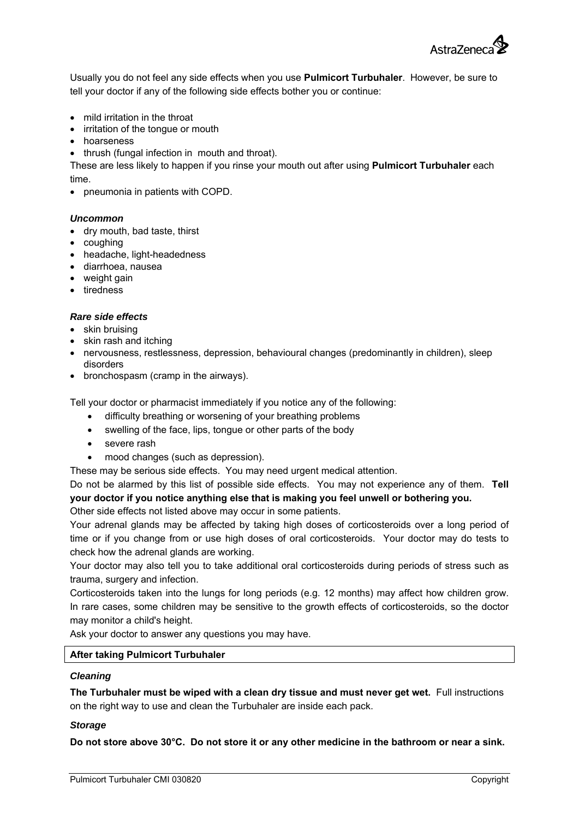

Usually you do not feel any side effects when you use **Pulmicort Turbuhaler**. However, be sure to tell your doctor if any of the following side effects bother you or continue:

- mild irritation in the throat
- irritation of the tongue or mouth
- hoarseness
- thrush (fungal infection in mouth and throat).

These are less likely to happen if you rinse your mouth out after using **Pulmicort Turbuhaler** each time.

pneumonia in patients with COPD.

#### *Uncommon*

- dry mouth, bad taste, thirst
- coughing
- headache, light-headedness
- diarrhoea, nausea
- weight gain
- tiredness

#### *Rare side effects*

- skin bruising
- skin rash and itching
- nervousness, restlessness, depression, behavioural changes (predominantly in children), sleep disorders
- bronchospasm (cramp in the airways).

Tell your doctor or pharmacist immediately if you notice any of the following:

- difficulty breathing or worsening of your breathing problems
- swelling of the face, lips, tongue or other parts of the body
- severe rash
- mood changes (such as depression).

These may be serious side effects. You may need urgent medical attention.

Do not be alarmed by this list of possible side effects. You may not experience any of them. **Tell your doctor if you notice anything else that is making you feel unwell or bothering you.** 

Other side effects not listed above may occur in some patients.

Your adrenal glands may be affected by taking high doses of corticosteroids over a long period of time or if you change from or use high doses of oral corticosteroids. Your doctor may do tests to check how the adrenal glands are working.

Your doctor may also tell you to take additional oral corticosteroids during periods of stress such as trauma, surgery and infection.

Corticosteroids taken into the lungs for long periods (e.g. 12 months) may affect how children grow. In rare cases, some children may be sensitive to the growth effects of corticosteroids, so the doctor may monitor a child's height.

Ask your doctor to answer any questions you may have.

## **After taking Pulmicort Turbuhaler**

#### *Cleaning*

**The Turbuhaler must be wiped with a clean dry tissue and must never get wet.** Full instructions on the right way to use and clean the Turbuhaler are inside each pack.

#### *Storage*

**Do not store above 30°C. Do not store it or any other medicine in the bathroom or near a sink.**